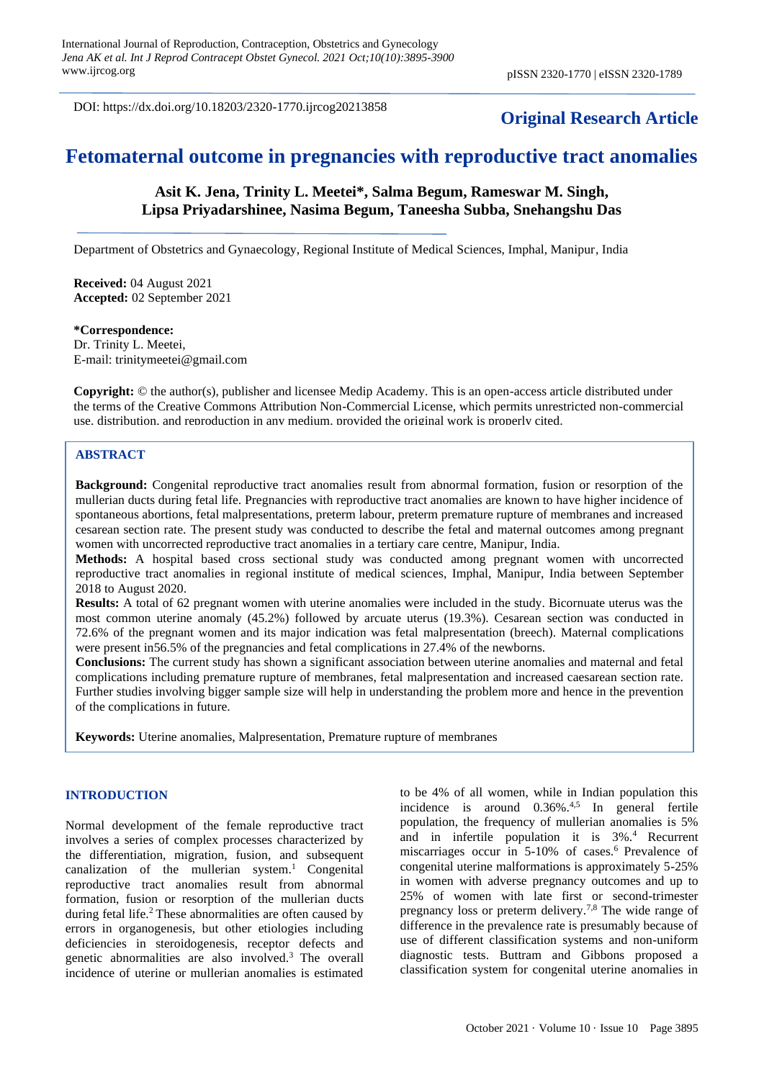DOI: https://dx.doi.org/10.18203/2320-1770.ijrcog20213858

# **Original Research Article**

# **Fetomaternal outcome in pregnancies with reproductive tract anomalies**

# **Asit K. Jena, Trinity L. Meetei\*, Salma Begum, Rameswar M. Singh, Lipsa Priyadarshinee, Nasima Begum, Taneesha Subba, Snehangshu Das**

Department of Obstetrics and Gynaecology, Regional Institute of Medical Sciences, Imphal, Manipur, India

**Received:** 04 August 2021 **Accepted:** 02 September 2021

## **\*Correspondence:**

Dr. Trinity L. Meetei, E-mail: [trinitymeetei@gmail.com](mailto:trinitymeetei@gmail.com)

**Copyright:** © the author(s), publisher and licensee Medip Academy. This is an open-access article distributed under the terms of the Creative Commons Attribution Non-Commercial License, which permits unrestricted non-commercial use, distribution, and reproduction in any medium, provided the original work is properly cited.

#### **ABSTRACT**

**Background:** Congenital reproductive tract anomalies result from abnormal formation, fusion or resorption of the mullerian ducts during fetal life. Pregnancies with reproductive tract anomalies are known to have higher incidence of spontaneous abortions, fetal malpresentations, preterm labour, preterm premature rupture of membranes and increased cesarean section rate. The present study was conducted to describe the fetal and maternal outcomes among pregnant women with uncorrected reproductive tract anomalies in a tertiary care centre, Manipur, India.

**Methods:** A hospital based cross sectional study was conducted among pregnant women with uncorrected reproductive tract anomalies in regional institute of medical sciences, Imphal, Manipur, India between September 2018 to August 2020.

**Results:** A total of 62 pregnant women with uterine anomalies were included in the study. Bicornuate uterus was the most common uterine anomaly (45.2%) followed by arcuate uterus (19.3%). Cesarean section was conducted in 72.6% of the pregnant women and its major indication was fetal malpresentation (breech). Maternal complications were present in56.5% of the pregnancies and fetal complications in 27.4% of the newborns.

**Conclusions:** The current study has shown a significant association between uterine anomalies and maternal and fetal complications including premature rupture of membranes, fetal malpresentation and increased caesarean section rate. Further studies involving bigger sample size will help in understanding the problem more and hence in the prevention of the complications in future.

**Keywords:** Uterine anomalies, Malpresentation, Premature rupture of membranes

#### **INTRODUCTION**

Normal development of the female reproductive tract involves a series of complex processes characterized by the differentiation, migration, fusion, and subsequent canalization of the mullerian system.<sup>1</sup> Congenital reproductive tract anomalies result from abnormal formation, fusion or resorption of the mullerian ducts during fetal life.<sup>2</sup> These abnormalities are often caused by errors in organogenesis, but other etiologies including deficiencies in steroidogenesis, receptor defects and genetic abnormalities are also involved.<sup>3</sup> The overall incidence of uterine or mullerian anomalies is estimated

to be 4% of all women, while in Indian population this incidence is around 0.36%.<sup>4,5</sup> In general fertile population, the frequency of mullerian anomalies is 5% and in infertile population it is 3%.<sup>4</sup> Recurrent miscarriages occur in 5-10% of cases.<sup>6</sup> Prevalence of congenital uterine malformations is approximately 5-25% in women with adverse pregnancy outcomes and up to 25% of women with late first or second-trimester pregnancy loss or preterm delivery.7,8 The wide range of difference in the prevalence rate is presumably because of use of different classification systems and non-uniform diagnostic tests. Buttram and Gibbons proposed a classification system for congenital uterine anomalies in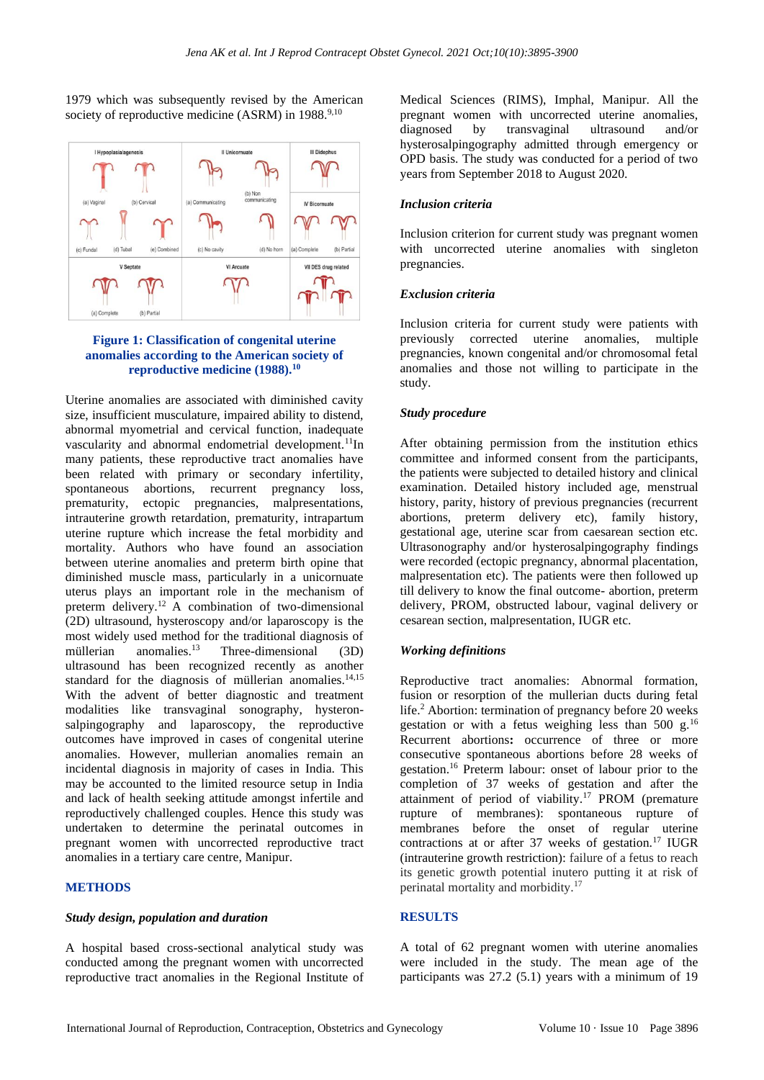1979 which was subsequently revised by the American society of reproductive medicine  $(ASRM)$  in 1988.<sup>9,10</sup>



## **Figure 1: Classification of congenital uterine anomalies according to the American society of reproductive medicine (1988).<sup>10</sup>**

Uterine anomalies are associated with diminished cavity size, insufficient musculature, impaired ability to distend, abnormal myometrial and cervical function, inadequate vascularity and abnormal endometrial development.<sup>11</sup>In many patients, these reproductive tract anomalies have been related with primary or secondary infertility, spontaneous abortions, recurrent pregnancy loss, prematurity, ectopic pregnancies, malpresentations, intrauterine growth retardation, prematurity, intrapartum uterine rupture which increase the fetal morbidity and mortality. Authors who have found an association between uterine anomalies and preterm birth opine that diminished muscle mass, particularly in a unicornuate uterus plays an important role in the mechanism of preterm delivery.<sup>12</sup> A combination of two-dimensional (2D) ultrasound, hysteroscopy and/or laparoscopy is the most widely used method for the traditional diagnosis of müllerian anomalies. $^{13}$  Three-dimensional (3D) ultrasound has been recognized recently as another standard for the diagnosis of müllerian anomalies.<sup>14,15</sup> With the advent of better diagnostic and treatment modalities like transvaginal sonography, hysteronsalpingography and laparoscopy, the reproductive outcomes have improved in cases of congenital uterine anomalies. However, mullerian anomalies remain an incidental diagnosis in majority of cases in India. This may be accounted to the limited resource setup in India and lack of health seeking attitude amongst infertile and reproductively challenged couples. Hence this study was undertaken to determine the perinatal outcomes in pregnant women with uncorrected reproductive tract anomalies in a tertiary care centre, Manipur.

#### **METHODS**

#### *Study design, population and duration*

A hospital based cross-sectional analytical study was conducted among the pregnant women with uncorrected reproductive tract anomalies in the Regional Institute of Medical Sciences (RIMS), Imphal, Manipur. All the pregnant women with uncorrected uterine anomalies, diagnosed by transvaginal ultrasound and/or hysterosalpingography admitted through emergency or OPD basis. The study was conducted for a period of two years from September 2018 to August 2020.

## *Inclusion criteria*

Inclusion criterion for current study was pregnant women with uncorrected uterine anomalies with singleton pregnancies.

#### *Exclusion criteria*

Inclusion criteria for current study were patients with previously corrected uterine anomalies, multiple pregnancies, known congenital and/or chromosomal fetal anomalies and those not willing to participate in the study.

#### *Study procedure*

After obtaining permission from the institution ethics committee and informed consent from the participants, the patients were subjected to detailed history and clinical examination. Detailed history included age, menstrual history, parity, history of previous pregnancies (recurrent abortions, preterm delivery etc), family history, gestational age, uterine scar from caesarean section etc. Ultrasonography and/or hysterosalpingography findings were recorded (ectopic pregnancy, abnormal placentation, malpresentation etc). The patients were then followed up till delivery to know the final outcome- abortion, preterm delivery, PROM, obstructed labour, vaginal delivery or cesarean section, malpresentation, IUGR etc.

#### *Working definitions*

Reproductive tract anomalies: Abnormal formation, fusion or resorption of the mullerian ducts during fetal life.<sup>2</sup> Abortion: termination of pregnancy before 20 weeks gestation or with a fetus weighing less than 500 g.<sup>16</sup> Recurrent abortions**:** occurrence of three or more consecutive spontaneous abortions before 28 weeks of gestation.<sup>16</sup> Preterm labour: onset of labour prior to the completion of 37 weeks of gestation and after the attainment of period of viability.<sup>17</sup> PROM (premature rupture of membranes): spontaneous rupture of membranes before the onset of regular uterine contractions at or after 37 weeks of gestation.<sup>17</sup> IUGR (intrauterine growth restriction): failure of a fetus to reach its genetic growth potential inutero putting it at risk of perinatal mortality and morbidity.<sup>17</sup>

# **RESULTS**

A total of 62 pregnant women with uterine anomalies were included in the study. The mean age of the participants was 27.2 (5.1) years with a minimum of 19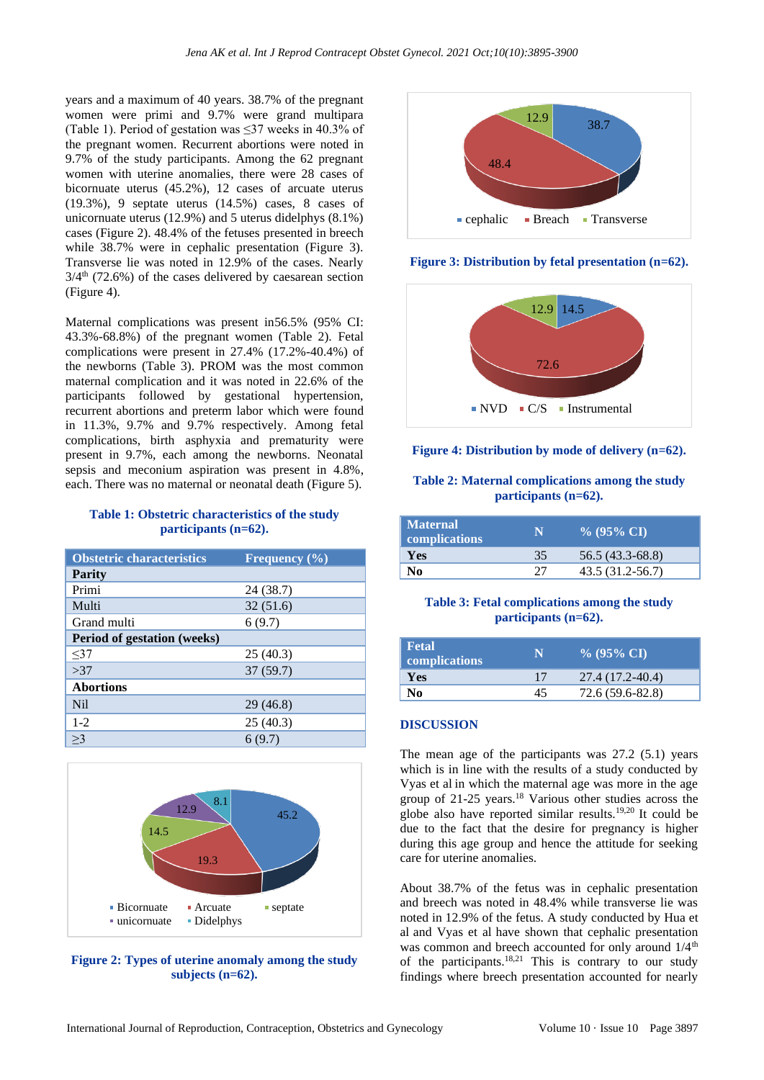years and a maximum of 40 years. 38.7% of the pregnant women were primi and 9.7% were grand multipara (Table 1). Period of gestation was ≤37 weeks in 40.3% of the pregnant women. Recurrent abortions were noted in 9.7% of the study participants. Among the 62 pregnant women with uterine anomalies, there were 28 cases of bicornuate uterus (45.2%), 12 cases of arcuate uterus (19.3%), 9 septate uterus (14.5%) cases, 8 cases of unicornuate uterus (12.9%) and 5 uterus didelphys (8.1%) cases (Figure 2). 48.4% of the fetuses presented in breech while 38.7% were in cephalic presentation (Figure 3). Transverse lie was noted in 12.9% of the cases. Nearly  $3/4<sup>th</sup>$  (72.6%) of the cases delivered by caesarean section (Figure 4).

Maternal complications was present in56.5% (95% CI: 43.3%-68.8%) of the pregnant women (Table 2). Fetal complications were present in 27.4% (17.2%-40.4%) of the newborns (Table 3). PROM was the most common maternal complication and it was noted in 22.6% of the participants followed by gestational hypertension, recurrent abortions and preterm labor which were found in 11.3%, 9.7% and 9.7% respectively. Among fetal complications, birth asphyxia and prematurity were present in 9.7%, each among the newborns. Neonatal sepsis and meconium aspiration was present in 4.8%, each. There was no maternal or neonatal death (Figure 5).

### **Table 1: Obstetric characteristics of the study participants (n=62).**

| <b>Obstetric characteristics</b> | Frequency $(\% )$ |
|----------------------------------|-------------------|
| <b>Parity</b>                    |                   |
| Primi                            | 24 (38.7)         |
| Multi                            | 32(51.6)          |
| Grand multi                      | 6(9.7)            |
| Period of gestation (weeks)      |                   |
| <37                              | 25(40.3)          |
| >37                              | 37(59.7)          |
| <b>Abortions</b>                 |                   |
| N <sub>i</sub>                   | 29(46.8)          |
| $1 - 2$                          | 25(40.3)          |
| $\geq$ 3                         | 6(9.7)            |



**Figure 2: Types of uterine anomaly among the study subjects (n=62).**



**Figure 3: Distribution by fetal presentation (n=62).**



#### **Figure 4: Distribution by mode of delivery (n=62).**

#### **Table 2: Maternal complications among the study participants (n=62).**

| Maternal<br>complications | N  | $\%$ (95% CI)    |
|---------------------------|----|------------------|
| Yes                       | 35 | 56.5 (43.3-68.8) |
| No                        | つつ | 43.5 (31.2-56.7) |

#### **Table 3: Fetal complications among the study participants (n=62).**

| Fetal<br>complications | N  | $\%$ (95% CI)    |
|------------------------|----|------------------|
| <b>Yes</b>             | 17 | 27.4 (17.2-40.4) |
| No                     | 45 | 72.6 (59.6-82.8) |

#### **DISCUSSION**

The mean age of the participants was 27.2 (5.1) years which is in line with the results of a study conducted by Vyas et al in which the maternal age was more in the age group of 21-25 years.<sup>18</sup> Various other studies across the globe also have reported similar results.19,20 It could be due to the fact that the desire for pregnancy is higher during this age group and hence the attitude for seeking care for uterine anomalies.

About 38.7% of the fetus was in cephalic presentation and breech was noted in 48.4% while transverse lie was noted in 12.9% of the fetus. A study conducted by Hua et al and Vyas et al have shown that cephalic presentation was common and breech accounted for only around  $1/4^{\text{th}}$ of the participants.<sup>18,21</sup> This is contrary to our study findings where breech presentation accounted for nearly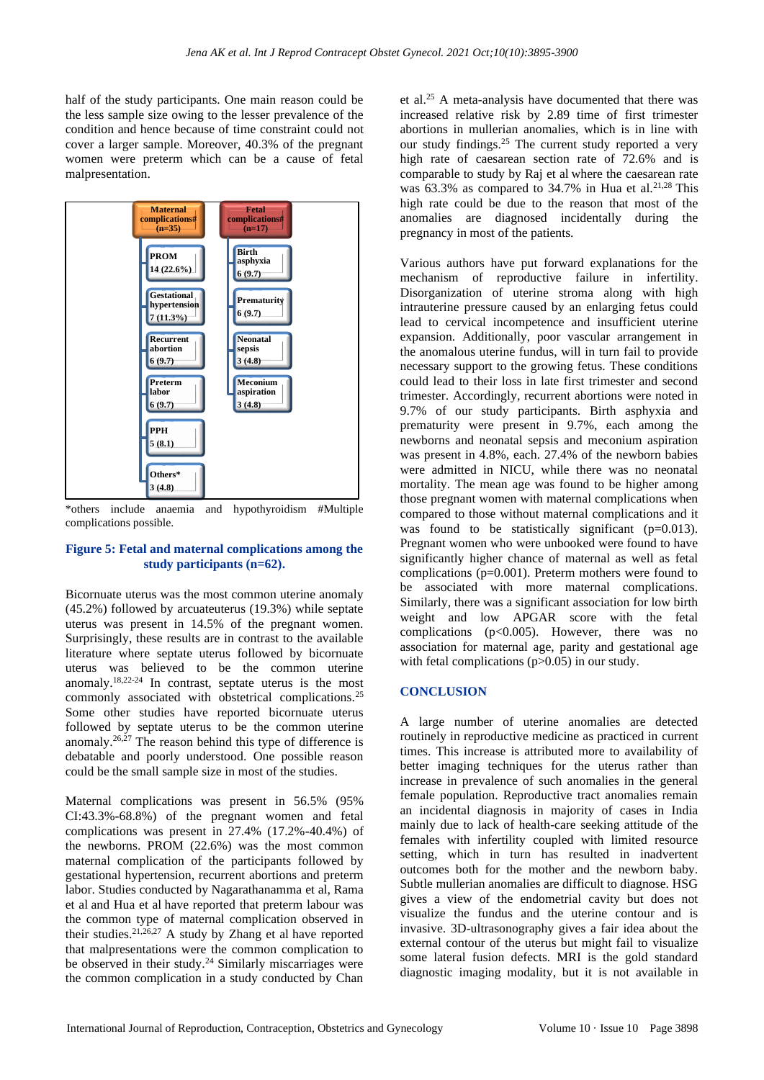half of the study participants. One main reason could be the less sample size owing to the lesser prevalence of the condition and hence because of time constraint could not cover a larger sample. Moreover, 40.3% of the pregnant women were preterm which can be a cause of fetal malpresentation.



\*others include anaemia and hypothyroidism #Multiple complications possible.

#### **Figure 5: Fetal and maternal complications among the study participants (n=62).**

Bicornuate uterus was the most common uterine anomaly (45.2%) followed by arcuateuterus (19.3%) while septate uterus was present in 14.5% of the pregnant women. Surprisingly, these results are in contrast to the available literature where septate uterus followed by bicornuate uterus was believed to be the common uterine anomaly.18,22-24 In contrast, septate uterus is the most commonly associated with obstetrical complications.<sup>25</sup> Some other studies have reported bicornuate uterus followed by septate uterus to be the common uterine anomaly.<sup>26,27</sup> The reason behind this type of difference is debatable and poorly understood. One possible reason could be the small sample size in most of the studies.

Maternal complications was present in 56.5% (95% CI:43.3%-68.8%) of the pregnant women and fetal complications was present in 27.4% (17.2%-40.4%) of the newborns. PROM (22.6%) was the most common maternal complication of the participants followed by gestational hypertension, recurrent abortions and preterm labor. Studies conducted by Nagarathanamma et al, Rama et al and Hua et al have reported that preterm labour was the common type of maternal complication observed in their studies.21,26,27 A study by Zhang et al have reported that malpresentations were the common complication to be observed in their study.<sup>24</sup> Similarly miscarriages were the common complication in a study conducted by Chan et al.<sup>25</sup> A meta-analysis have documented that there was increased relative risk by 2.89 time of first trimester abortions in mullerian anomalies, which is in line with our study findings.<sup>25</sup> The current study reported a very high rate of caesarean section rate of 72.6% and is comparable to study by Raj et al where the caesarean rate was  $63.3\%$  as compared to 34.7% in Hua et al.<sup>21,28</sup> This high rate could be due to the reason that most of the anomalies are diagnosed incidentally during the pregnancy in most of the patients.

Various authors have put forward explanations for the mechanism of reproductive failure in infertility. Disorganization of uterine stroma along with high intrauterine pressure caused by an enlarging fetus could lead to cervical incompetence and insufficient uterine expansion. Additionally, poor vascular arrangement in the anomalous uterine fundus, will in turn fail to provide necessary support to the growing fetus. These conditions could lead to their loss in late first trimester and second trimester. Accordingly, recurrent abortions were noted in 9.7% of our study participants. Birth asphyxia and prematurity were present in 9.7%, each among the newborns and neonatal sepsis and meconium aspiration was present in 4.8%, each. 27.4% of the newborn babies were admitted in NICU, while there was no neonatal mortality. The mean age was found to be higher among those pregnant women with maternal complications when compared to those without maternal complications and it was found to be statistically significant (p=0.013). Pregnant women who were unbooked were found to have significantly higher chance of maternal as well as fetal complications (p=0.001). Preterm mothers were found to be associated with more maternal complications. Similarly, there was a significant association for low birth weight and low APGAR score with the fetal complications ( $p<0.005$ ). However, there was no association for maternal age, parity and gestational age with fetal complications (p>0.05) in our study.

#### **CONCLUSION**

A large number of uterine anomalies are detected routinely in reproductive medicine as practiced in current times. This increase is attributed more to availability of better imaging techniques for the uterus rather than increase in prevalence of such anomalies in the general female population. Reproductive tract anomalies remain an incidental diagnosis in majority of cases in India mainly due to lack of health-care seeking attitude of the females with infertility coupled with limited resource setting, which in turn has resulted in inadvertent outcomes both for the mother and the newborn baby. Subtle mullerian anomalies are difficult to diagnose. HSG gives a view of the endometrial cavity but does not visualize the fundus and the uterine contour and is invasive. 3D-ultrasonography gives a fair idea about the external contour of the uterus but might fail to visualize some lateral fusion defects. MRI is the gold standard diagnostic imaging modality, but it is not available in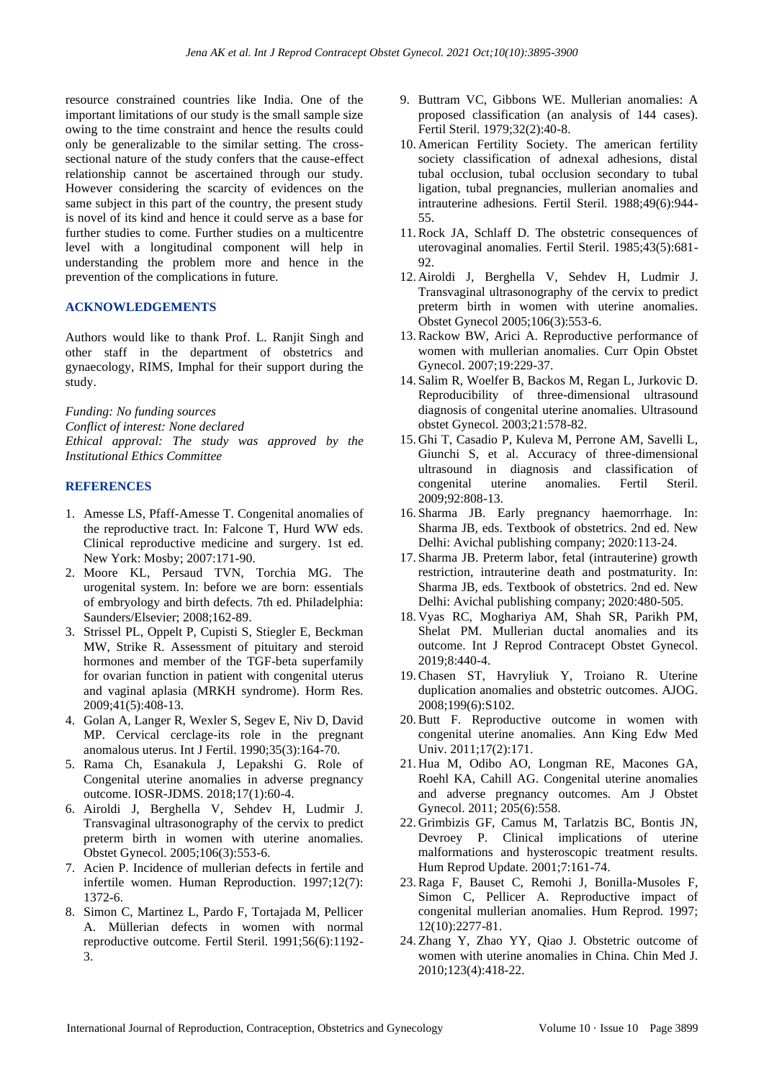resource constrained countries like India. One of the important limitations of our study is the small sample size owing to the time constraint and hence the results could only be generalizable to the similar setting. The crosssectional nature of the study confers that the cause-effect relationship cannot be ascertained through our study. However considering the scarcity of evidences on the same subject in this part of the country, the present study is novel of its kind and hence it could serve as a base for further studies to come. Further studies on a multicentre level with a longitudinal component will help in understanding the problem more and hence in the prevention of the complications in future.

#### **ACKNOWLEDGEMENTS**

Authors would like to thank Prof. L. Ranjit Singh and other staff in the department of obstetrics and gynaecology, RIMS, Imphal for their support during the study.

*Funding: No funding sources Conflict of interest: None declared Ethical approval: The study was approved by the Institutional Ethics Committee*

#### **REFERENCES**

- 1. Amesse LS, Pfaff-Amesse T. Congenital anomalies of the reproductive tract. In: Falcone T, Hurd WW eds. Clinical reproductive medicine and surgery. 1st ed. New York: Mosby; 2007:171-90.
- 2. Moore KL, Persaud TVN, Torchia MG. The urogenital system. In: before we are born: essentials of embryology and birth defects. 7th ed. Philadelphia: Saunders/Elsevier; 2008;162-89.
- 3. Strissel PL, Oppelt P, Cupisti S, Stiegler E, Beckman MW, Strike R. Assessment of pituitary and steroid hormones and member of the TGF-beta superfamily for ovarian function in patient with congenital uterus and vaginal aplasia (MRKH syndrome). Horm Res. 2009;41(5):408-13.
- 4. Golan A, Langer R, Wexler S, Segev E, Niv D, David MP. Cervical cerclage-its role in the pregnant anomalous uterus. Int J Fertil. 1990;35(3):164-70.
- 5. Rama Ch, Esanakula J, Lepakshi G. Role of Congenital uterine anomalies in adverse pregnancy outcome. IOSR-JDMS. 2018;17(1):60-4.
- 6. Airoldi J, Berghella V, Sehdev H, Ludmir J. Transvaginal ultrasonography of the cervix to predict preterm birth in women with uterine anomalies. Obstet Gynecol. 2005;106(3):553-6.
- 7. Acien P. Incidence of mullerian defects in fertile and infertile women. Human Reproduction. 1997;12(7): 1372-6.
- 8. Simon C, Martinez L, Pardo F, Tortajada M, Pellicer A. Müllerian defects in women with normal reproductive outcome. Fertil Steril. 1991;56(6):1192- 3.
- 9. Buttram VC, Gibbons WE. Mullerian anomalies: A proposed classification (an analysis of 144 cases). Fertil Steril. 1979;32(2):40-8.
- 10. American Fertility Society. The american fertility society classification of adnexal adhesions, distal tubal occlusion, tubal occlusion secondary to tubal ligation, tubal pregnancies, mullerian anomalies and intrauterine adhesions. Fertil Steril. 1988;49(6):944- 55.
- 11.Rock JA, Schlaff D. The obstetric consequences of uterovaginal anomalies. Fertil Steril. 1985;43(5):681- 92.
- 12. Airoldi J, Berghella V, Sehdev H, Ludmir J. Transvaginal ultrasonography of the cervix to predict preterm birth in women with uterine anomalies. Obstet Gynecol 2005;106(3):553-6.
- 13.Rackow BW, Arici A. Reproductive performance of women with mullerian anomalies. Curr Opin Obstet Gynecol. 2007;19:229-37.
- 14. Salim R, Woelfer B, Backos M, Regan L, Jurkovic D. Reproducibility of three-dimensional ultrasound diagnosis of congenital uterine anomalies. Ultrasound obstet Gynecol. 2003;21:578-82.
- 15. Ghi T, Casadio P, Kuleva M, Perrone AM, Savelli L, Giunchi S, et al. Accuracy of three-dimensional ultrasound in diagnosis and classification of congenital uterine anomalies. Fertil Steril. 2009;92:808-13.
- 16. Sharma JB. Early pregnancy haemorrhage. In: Sharma JB, eds. Textbook of obstetrics. 2nd ed. New Delhi: Avichal publishing company; 2020:113-24.
- 17. Sharma JB. Preterm labor, fetal (intrauterine) growth restriction, intrauterine death and postmaturity. In: Sharma JB, eds. Textbook of obstetrics. 2nd ed. New Delhi: Avichal publishing company; 2020:480-505.
- 18. Vyas RC, Moghariya AM, Shah SR, Parikh PM, Shelat PM. Mullerian ductal anomalies and its outcome. Int J Reprod Contracept Obstet Gynecol. 2019;8:440-4.
- 19.Chasen ST, Havryliuk Y, Troiano R. Uterine duplication anomalies and obstetric outcomes. AJOG. 2008;199(6):S102.
- 20.Butt F. Reproductive outcome in women with congenital uterine anomalies. Ann King Edw Med Univ. 2011;17(2):171.
- 21. Hua M, Odibo AO, Longman RE, Macones GA, Roehl KA, Cahill AG. Congenital uterine anomalies and adverse pregnancy outcomes. Am J Obstet Gynecol. 2011; 205(6):558.
- 22. Grimbizis GF, Camus M, Tarlatzis BC, Bontis JN, Devroey P. Clinical implications of uterine malformations and hysteroscopic treatment results. Hum Reprod Update. 2001;7:161-74.
- 23.Raga F, Bauset C, Remohi J, Bonilla-Musoles F, Simon C, Pellicer A. Reproductive impact of congenital mullerian anomalies. Hum Reprod. 1997; 12(10):2277-81.
- 24. Zhang Y, Zhao YY, Qiao J. Obstetric outcome of women with uterine anomalies in China. Chin Med J. 2010;123(4):418-22.